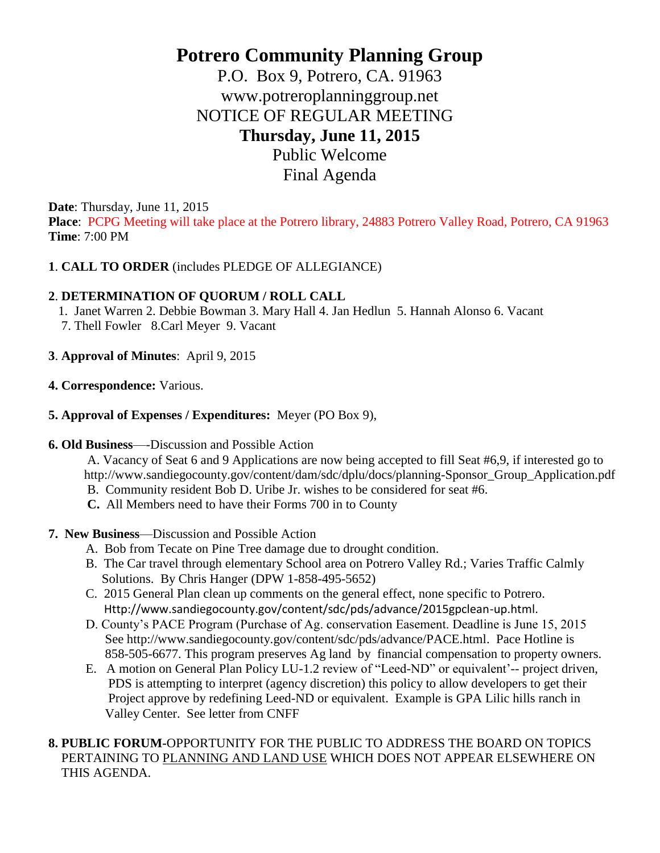# **Potrero Community Planning Group**

P.O. Box 9, Potrero, CA. 91963 www.potreroplanninggroup.net NOTICE OF REGULAR MEETING **Thursday, June 11, 2015** Public Welcome

Final Agenda

**Date**: Thursday, June 11, 2015

**Place**: PCPG Meeting will take place at the Potrero library, 24883 Potrero Valley Road, Potrero, CA 91963 **Time**: 7:00 PM

## **1**. **CALL TO ORDER** (includes PLEDGE OF ALLEGIANCE)

## **2**. **DETERMINATION OF QUORUM / ROLL CALL**

- 1. Janet Warren 2. Debbie Bowman 3. Mary Hall 4. Jan Hedlun 5. Hannah Alonso 6. Vacant
- 7. Thell Fowler 8.Carl Meyer 9. Vacant
- **3**. **Approval of Minutes**: April 9, 2015
- **4. Correspondence:** Various.
- **5. Approval of Expenses / Expenditures:** Meyer (PO Box 9),
- **6. Old Business**—-Discussion and Possible Action

 A. Vacancy of Seat 6 and 9 Applications are now being accepted to fill Seat #6,9, if interested go to http://www.sandiegocounty.gov/content/dam/sdc/dplu/docs/planning-Sponsor\_Group\_Application.pdf

- B. Community resident Bob D. Uribe Jr. wishes to be considered for seat #6.
- **C.** All Members need to have their Forms 700 in to County
- **7. New Business**—Discussion and Possible Action
	- A. Bob from Tecate on Pine Tree damage due to drought condition.
	- B. The Car travel through elementary School area on Potrero Valley Rd.; Varies Traffic Calmly Solutions. By Chris Hanger (DPW 1-858-495-5652)
	- C. 2015 General Plan clean up comments on the general effect, none specific to Potrero. Http://www.sandiegocounty.gov/content/sdc/pds/advance/2015gpclean-up.html.
	- D. County's PACE Program (Purchase of Ag. conservation Easement. Deadline is June 15, 2015 See http://www.sandiegocounty.gov/content/sdc/pds/advance/PACE.html. Pace Hotline is 858-505-6677. This program preserves Ag land by financial compensation to property owners.
	- E. A motion on General Plan Policy LU-1.2 review of "Leed-ND" or equivalent'-- project driven, PDS is attempting to interpret (agency discretion) this policy to allow developers to get their Project approve by redefining Leed-ND or equivalent. Example is GPA Lilic hills ranch in Valley Center. See letter from CNFF

## **8. PUBLIC FORUM-**OPPORTUNITY FOR THE PUBLIC TO ADDRESS THE BOARD ON TOPICS PERTAINING TO PLANNING AND LAND USE WHICH DOES NOT APPEAR ELSEWHERE ON THIS AGENDA.